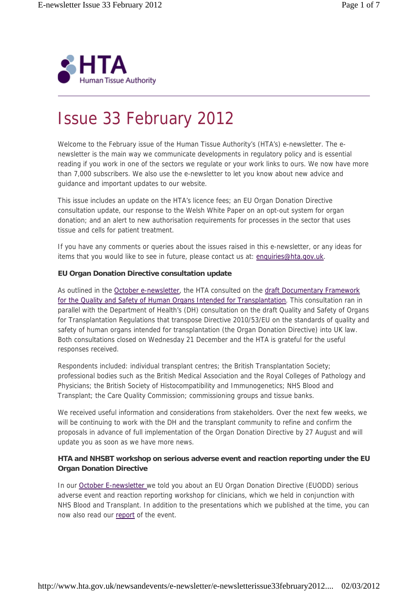

# Issue 33 February 2012

Welcome to the February issue of the Human Tissue Authority's (HTA's) e-newsletter. The enewsletter is the main way we communicate developments in regulatory policy and is essential reading if you work in one of the sectors we regulate or your work links to ours. We now have more than 7,000 subscribers. We also use the e-newsletter to let you know about new advice and guidance and important updates to our website.

This issue includes an update on the HTA's licence fees; an EU Organ Donation Directive consultation update, our response to the Welsh White Paper on an opt-out system for organ donation; and an alert to new authorisation requirements for processes in the sector that uses tissue and cells for patient treatment.

If you have any comments or queries about the issues raised in this e-newsletter, or any ideas for items that you would like to see in future, please contact us at: enquiries@hta.gov.uk.

# **EU Organ Donation Directive consultation update**

As outlined in the October e-newsletter, the HTA consulted on the draft Documentary Framework for the Quality and Safety of Human Organs Intended for Transplantation. This consultation ran in parallel with the Department of Health's (DH) consultation on the draft Quality and Safety of Organs for Transplantation Regulations that transpose Directive 2010/53/EU on the standards of quality and safety of human organs intended for transplantation (the Organ Donation Directive) into UK law. Both consultations closed on Wednesday 21 December and the HTA is grateful for the useful responses received.

Respondents included: individual transplant centres; the British Transplantation Society; professional bodies such as the British Medical Association and the Royal Colleges of Pathology and Physicians; the British Society of Histocompatibility and Immunogenetics; NHS Blood and Transplant; the Care Quality Commission; commissioning groups and tissue banks.

We received useful information and considerations from stakeholders. Over the next few weeks, we will be continuing to work with the DH and the transplant community to refine and confirm the proposals in advance of full implementation of the Organ Donation Directive by 27 August and will update you as soon as we have more news.

# **HTA and NHSBT workshop on serious adverse event and reaction reporting under the EU Organ Donation Directive**

In our October E-newsletter we told you about an EU Organ Donation Directive (EUODD) serious adverse event and reaction reporting workshop for clinicians, which we held in conjunction with NHS Blood and Transplant. In addition to the presentations which we published at the time, you can now also read our report of the event.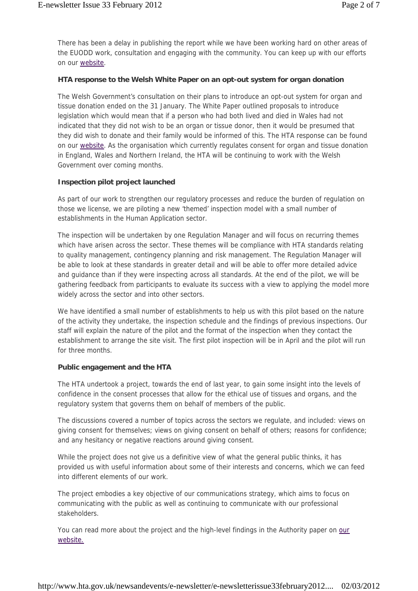There has been a delay in publishing the report while we have been working hard on other areas of the EUODD work, consultation and engaging with the community. You can keep up with our efforts on our website.

## **HTA response to the Welsh White Paper on an opt-out system for organ donation**

The Welsh Government's consultation on their plans to introduce an opt-out system for organ and tissue donation ended on the 31 January. The White Paper outlined proposals to introduce legislation which would mean that if a person who had both lived and died in Wales had not indicated that they did not wish to be an organ or tissue donor, then it would be presumed that they did wish to donate and their family would be informed of this. The HTA response can be found on our website. As the organisation which currently regulates consent for organ and tissue donation in England, Wales and Northern Ireland, the HTA will be continuing to work with the Welsh Government over coming months.

#### **Inspection pilot project launched**

As part of our work to strengthen our regulatory processes and reduce the burden of regulation on those we license, we are piloting a new 'themed' inspection model with a small number of establishments in the Human Application sector.

The inspection will be undertaken by one Regulation Manager and will focus on recurring themes which have arisen across the sector. These themes will be compliance with HTA standards relating to quality management, contingency planning and risk management. The Regulation Manager will be able to look at these standards in greater detail and will be able to offer more detailed advice and guidance than if they were inspecting across all standards. At the end of the pilot, we will be gathering feedback from participants to evaluate its success with a view to applying the model more widely across the sector and into other sectors.

We have identified a small number of establishments to help us with this pilot based on the nature of the activity they undertake, the inspection schedule and the findings of previous inspections. Our staff will explain the nature of the pilot and the format of the inspection when they contact the establishment to arrange the site visit. The first pilot inspection will be in April and the pilot will run for three months.

#### **Public engagement and the HTA**

The HTA undertook a project, towards the end of last year, to gain some insight into the levels of confidence in the consent processes that allow for the ethical use of tissues and organs, and the regulatory system that governs them on behalf of members of the public.

The discussions covered a number of topics across the sectors we regulate, and included: views on giving consent for themselves; views on giving consent on behalf of others; reasons for confidence; and any hesitancy or negative reactions around giving consent.

While the project does not give us a definitive view of what the general public thinks, it has provided us with useful information about some of their interests and concerns, which we can feed into different elements of our work.

The project embodies a key objective of our communications strategy, which aims to focus on communicating with the public as well as continuing to communicate with our professional stakeholders.

You can read more about the project and the high-level findings in the Authority paper on our website.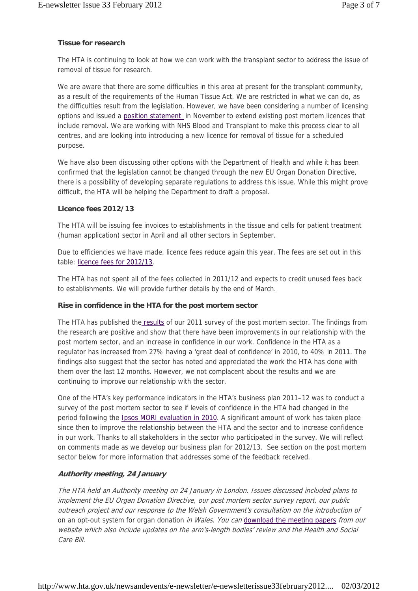# **Tissue for research**

The HTA is continuing to look at how we can work with the transplant sector to address the issue of removal of tissue for research.

We are aware that there are some difficulties in this area at present for the transplant community, as a result of the requirements of the Human Tissue Act. We are restricted in what we can do, as the difficulties result from the legislation. However, we have been considering a number of licensing options and issued a position statement in November to extend existing post mortem licences that include removal. We are working with NHS Blood and Transplant to make this process clear to all centres, and are looking into introducing a new licence for removal of tissue for a scheduled purpose.

We have also been discussing other options with the Department of Health and while it has been confirmed that the legislation cannot be changed through the new EU Organ Donation Directive, there is a possibility of developing separate regulations to address this issue. While this might prove difficult, the HTA will be helping the Department to draft a proposal.

# **Licence fees 2012/13**

The HTA will be issuing fee invoices to establishments in the tissue and cells for patient treatment (human application) sector in April and all other sectors in September.

Due to efficiencies we have made, licence fees reduce again this year. The fees are set out in this table: licence fees for 2012/13.

The HTA has not spent all of the fees collected in 2011/12 and expects to credit unused fees back to establishments. We will provide further details by the end of March.

# **Rise in confidence in the HTA for the post mortem sector**

The HTA has published the results of our 2011 survey of the post mortem sector. The findings from the research are positive and show that there have been improvements in our relationship with the post mortem sector, and an increase in confidence in our work. Confidence in the HTA as a regulator has increased from 27% having a 'great deal of confidence' in 2010, to 40% in 2011. The findings also suggest that the sector has noted and appreciated the work the HTA has done with them over the last 12 months. However, we not complacent about the results and we are continuing to improve our relationship with the sector.

One of the HTA's key performance indicators in the HTA's business plan 2011–12 was to conduct a survey of the post mortem sector to see if levels of confidence in the HTA had changed in the period following the Ipsos MORI evaluation in 2010. A significant amount of work has taken place since then to improve the relationship between the HTA and the sector and to increase confidence in our work. Thanks to all stakeholders in the sector who participated in the survey. We will reflect on comments made as we develop our business plan for 2012/13. See section on the post mortem sector below for more information that addresses some of the feedback received.

# **Authority meeting, 24 January**

The HTA held an Authority meeting on 24 January in London. Issues discussed included plans to implement the EU Organ Donation Directive, our post mortem sector survey report, our public outreach project and our response to the Welsh Government's consultation on the introduction of on an opt-out system for organ donation in Wales. You can download the meeting papers from our website which also include updates on the arm's-length bodies' review and the Health and Social Care Bill.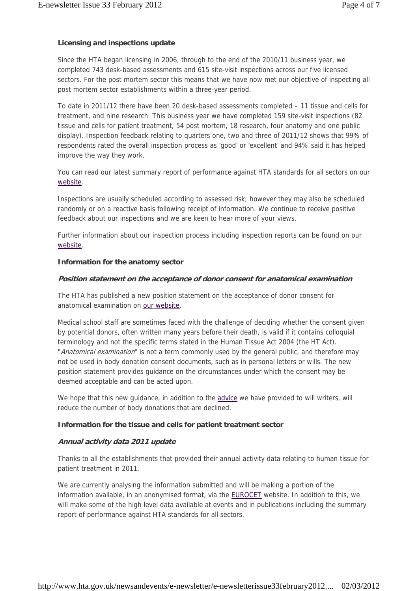# **Licensing and inspections update**

Since the HTA began licensing in 2006, through to the end of the 2010/11 business year, we completed 743 desk-based assessments and 615 site-visit inspections across our five licensed sectors. For the post mortem sector this means that we have now met our objective of inspecting all post mortem sector establishments within a three-year period.

To date in 2011/12 there have been 20 desk-based assessments completed – 11 tissue and cells for treatment, and nine research. This business year we have completed 159 site-visit inspections (82 tissue and cells for patient treatment, 54 post mortem, 18 research, four anatomy and one public display). Inspection feedback relating to quarters one, two and three of 2011/12 shows that 99% of respondents rated the overall inspection process as 'good' or 'excellent' and 94% said it has helped improve the way they work.

You can read our latest summary report of performance against HTA standards for all sectors on our website.

Inspections are usually scheduled according to assessed risk; however they may also be scheduled randomly or on a reactive basis following receipt of information. We continue to receive positive feedback about our inspections and we are keen to hear more of your views.

Further information about our inspection process including inspection reports can be found on our website.

#### **Information for the anatomy sector**

#### **Position statement on the acceptance of donor consent for anatomical examination**

The HTA has published a new position statement on the acceptance of donor consent for anatomical examination on our website.

Medical school staff are sometimes faced with the challenge of deciding whether the consent given by potential donors, often written many years before their death, is valid if it contains colloquial terminology and not the specific terms stated in the Human Tissue Act 2004 (the HT Act). "Anatomical examination" is not a term commonly used by the general public, and therefore may not be used in body donation consent documents, such as in personal letters or wills. The new position statement provides guidance on the circumstances under which the consent may be deemed acceptable and can be acted upon.

We hope that this new guidance, in addition to the advice we have provided to will writers, will reduce the number of body donations that are declined.

# **Information for the tissue and cells for patient treatment sector**

## **Annual activity data 2011 update**

Thanks to all the establishments that provided their annual activity data relating to human tissue for patient treatment in 2011.

We are currently analysing the information submitted and will be making a portion of the information available, in an anonymised format, via the EUROCET website. In addition to this, we will make some of the high level data available at events and in publications including the summary report of performance against HTA standards for all sectors.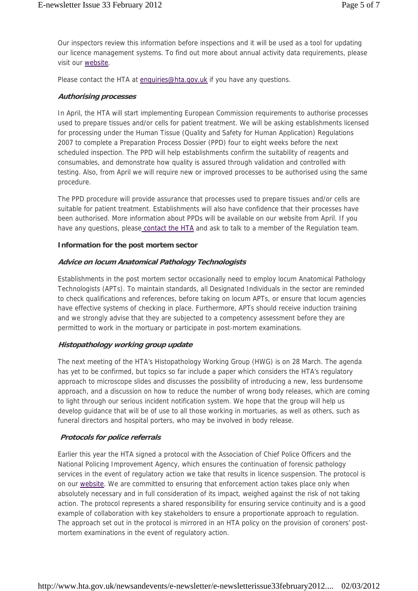Our inspectors review this information before inspections and it will be used as a tool for updating our licence management systems. To find out more about annual activity data requirements, please visit our website.

Please contact the HTA at enquiries@hta.gov.uk if you have any questions.

## **Authorising processes**

In April, the HTA will start implementing European Commission requirements to authorise processes used to prepare tissues and/or cells for patient treatment. We will be asking establishments licensed for processing under the Human Tissue (Quality and Safety for Human Application) Regulations 2007 to complete a Preparation Process Dossier (PPD) four to eight weeks before the next scheduled inspection. The PPD will help establishments confirm the suitability of reagents and consumables, and demonstrate how quality is assured through validation and controlled with testing. Also, from April we will require new or improved processes to be authorised using the same procedure.

The PPD procedure will provide assurance that processes used to prepare tissues and/or cells are suitable for patient treatment. Establishments will also have confidence that their processes have been authorised. More information about PPDs will be available on our website from April. If you have any questions, please contact the HTA and ask to talk to a member of the Regulation team.

#### **Information for the post mortem sector**

#### **Advice on locum Anatomical Pathology Technologists**

Establishments in the post mortem sector occasionally need to employ locum Anatomical Pathology Technologists (APTs). To maintain standards, all Designated Individuals in the sector are reminded to check qualifications and references, before taking on locum APTs, or ensure that locum agencies have effective systems of checking in place. Furthermore, APTs should receive induction training and we strongly advise that they are subjected to a competency assessment before they are permitted to work in the mortuary or participate in post-mortem examinations.

# **Histopathology working group update**

The next meeting of the HTA's Histopathology Working Group (HWG) is on 28 March. The agenda has yet to be confirmed, but topics so far include a paper which considers the HTA's regulatory approach to microscope slides and discusses the possibility of introducing a new, less burdensome approach, and a discussion on how to reduce the number of wrong body releases, which are coming to light through our serious incident notification system. We hope that the group will help us develop guidance that will be of use to all those working in mortuaries, as well as others, such as funeral directors and hospital porters, who may be involved in body release.

# **Protocols for police referrals**

Earlier this year the HTA signed a protocol with the Association of Chief Police Officers and the National Policing Improvement Agency, which ensures the continuation of forensic pathology services in the event of regulatory action we take that results in licence suspension. The protocol is on our website. We are committed to ensuring that enforcement action takes place only when absolutely necessary and in full consideration of its impact, weighed against the risk of not taking action. The protocol represents a shared responsibility for ensuring service continuity and is a good example of collaboration with key stakeholders to ensure a proportionate approach to regulation. The approach set out in the protocol is mirrored in an HTA policy on the provision of coroners' postmortem examinations in the event of regulatory action.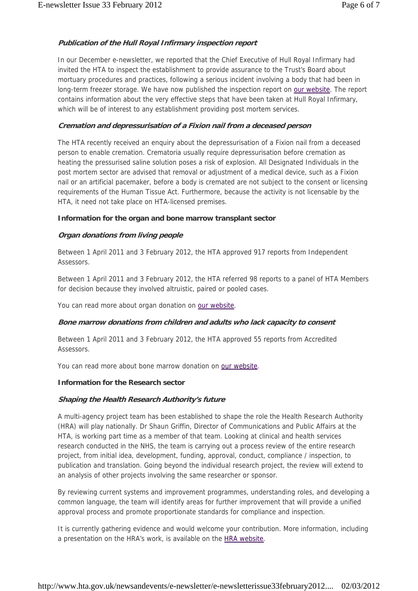# **Publication of the Hull Royal Infirmary inspection report**

In our December e-newsletter, we reported that the Chief Executive of Hull Royal Infirmary had invited the HTA to inspect the establishment to provide assurance to the Trust's Board about mortuary procedures and practices, following a serious incident involving a body that had been in long-term freezer storage. We have now published the inspection report on our website. The report contains information about the very effective steps that have been taken at Hull Royal Infirmary, which will be of interest to any establishment providing post mortem services.

#### **Cremation and depressurisation of a Fixion nail from a deceased person**

The HTA recently received an enquiry about the depressurisation of a Fixion nail from a deceased person to enable cremation. Crematoria usually require depressurisation before cremation as heating the pressurised saline solution poses a risk of explosion. All Designated Individuals in the post mortem sector are advised that removal or adjustment of a medical device, such as a Fixion nail or an artificial pacemaker, before a body is cremated are not subject to the consent or licensing requirements of the Human Tissue Act. Furthermore, because the activity is not licensable by the HTA, it need not take place on HTA-licensed premises.

#### **Information for the organ and bone marrow transplant sector**

# **Organ donations from living people**

Between 1 April 2011 and 3 February 2012, the HTA approved 917 reports from Independent Assessors.

Between 1 April 2011 and 3 February 2012, the HTA referred 98 reports to a panel of HTA Members for decision because they involved altruistic, paired or pooled cases.

You can read more about organ donation on our website.

# **Bone marrow donations from children and adults who lack capacity to consent**

Between 1 April 2011 and 3 February 2012, the HTA approved 55 reports from Accredited Assessors.

You can read more about bone marrow donation on our website.

# **Information for the Research sector**

# **Shaping the Health Research Authority's future**

A multi-agency project team has been established to shape the role the Health Research Authority (HRA) will play nationally. Dr Shaun Griffin, Director of Communications and Public Affairs at the HTA, is working part time as a member of that team. Looking at clinical and health services research conducted in the NHS, the team is carrying out a process review of the entire research project, from initial idea, development, funding, approval, conduct, compliance / inspection, to publication and translation. Going beyond the individual research project, the review will extend to an analysis of other projects involving the same researcher or sponsor.

By reviewing current systems and improvement programmes, understanding roles, and developing a common language, the team will identify areas for further improvement that will provide a unified approval process and promote proportionate standards for compliance and inspection.

It is currently gathering evidence and would welcome your contribution. More information, including a presentation on the HRA's work, is available on the HRA website.